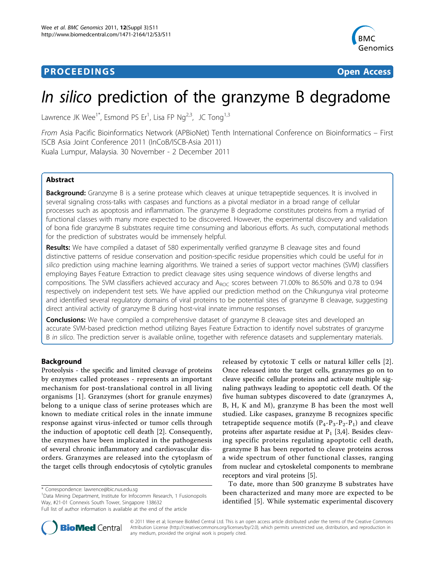# **PROCEEDINGS CONSUMING S** Open Access **CONSUMING S**



# In silico prediction of the granzyme B degradome

Lawrence JK Wee<sup>1\*</sup>, Esmond PS Er<sup>1</sup>, Lisa FP Ng<sup>2,3</sup>, JC Tong<sup>1,3</sup>

From Asia Pacific Bioinformatics Network (APBioNet) Tenth International Conference on Bioinformatics – First ISCB Asia Joint Conference 2011 (InCoB/ISCB-Asia 2011) Kuala Lumpur, Malaysia. 30 November - 2 December 2011

# Abstract

Background: Granzyme B is a serine protease which cleaves at unique tetrapeptide sequences. It is involved in several signaling cross-talks with caspases and functions as a pivotal mediator in a broad range of cellular processes such as apoptosis and inflammation. The granzyme B degradome constitutes proteins from a myriad of functional classes with many more expected to be discovered. However, the experimental discovery and validation of bona fide granzyme B substrates require time consuming and laborious efforts. As such, computational methods for the prediction of substrates would be immensely helpful.

Results: We have compiled a dataset of 580 experimentally verified granzyme B cleavage sites and found distinctive patterns of residue conservation and position-specific residue propensities which could be useful for in silico prediction using machine learning algorithms. We trained a series of support vector machines (SVM) classifiers employing Bayes Feature Extraction to predict cleavage sites using sequence windows of diverse lengths and compositions. The SVM classifiers achieved accuracy and  $A_{ROC}$  scores between 71.00% to 86.50% and 0.78 to 0.94 respectively on independent test sets. We have applied our prediction method on the Chikungunya viral proteome and identified several regulatory domains of viral proteins to be potential sites of granzyme B cleavage, suggesting direct antiviral activity of granzyme B during host-viral innate immune responses.

**Conclusions:** We have compiled a comprehensive dataset of granzyme B cleavage sites and developed an accurate SVM-based prediction method utilizing Bayes Feature Extraction to identify novel substrates of granzyme B in silico. The prediction server is available online, together with reference datasets and supplementary materials.

# Background

Proteolysis - the specific and limited cleavage of proteins by enzymes called proteases - represents an important mechanism for post-translational control in all living organisms [[1\]](#page-6-0). Granzymes (short for granule enzymes) belong to a unique class of serine proteases which are known to mediate critical roles in the innate immune response against virus-infected or tumor cells through the induction of apoptotic cell death [[2\]](#page-6-0). Consequently, the enzymes have been implicated in the pathogenesis of several chronic inflammatory and cardiovascular disorders. Granzymes are released into the cytoplasm of the target cells through endocytosis of cytolytic granules

<sup>1</sup>Data Mining Department, Institute for Infocomm Research, 1 Fusionopolis Way, #21-01 Connexis South Tower, Singapore 138632



To date, more than 500 granzyme B substrates have been characterized and many more are expected to be identified [\[5](#page-6-0)]. While systematic experimental discovery



© 2011 Wee et al; licensee BioMed Central Ltd. This is an open access article distributed under the terms of the Creative Commons Attribution License [\(http://creativecommons.org/licenses/by/2.0](http://creativecommons.org/licenses/by/2.0)), which permits unrestricted use, distribution, and reproduction in any medium, provided the original work is properly cited.

<sup>\*</sup> Correspondence: [lawrence@bic.nus.edu.sg](mailto:lawrence@bic.nus.edu.sg)

Full list of author information is available at the end of the article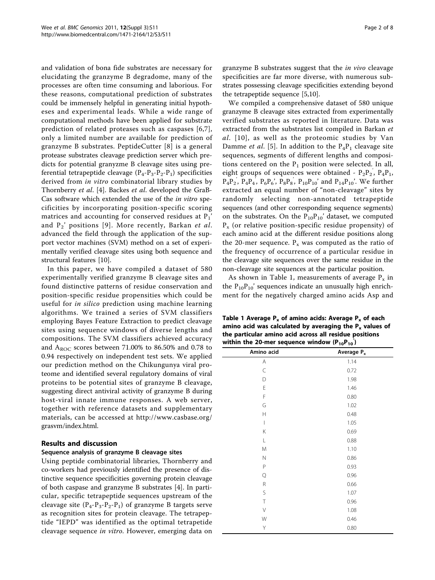and validation of bona fide substrates are necessary for elucidating the granzyme B degradome, many of the processes are often time consuming and laborious. For these reasons, computational prediction of substrates could be immensely helpful in generating initial hypotheses and experimental leads. While a wide range of computational methods have been applied for substrate prediction of related proteases such as caspases [\[6](#page-6-0),[7](#page-6-0)], only a limited number are available for prediction of granzyme B substrates. PeptideCutter [\[8\]](#page-6-0) is a general protease substrates cleavage prediction server which predicts for potential granyzme B cleavage sites using preferential tetrapeptide cleavage  $(P_4-P_3-P_2-P_1)$  specificities derived from *in vitro* combinatorial library studies by Thornberry et al. [\[4](#page-6-0)]. Backes et al. developed the GraB-Cas software which extended the use of the in vitro specificities by incorporating position-specific scoring matrices and accounting for conserved residues at  $P_1'$ and  $P_2'$  positions [[9\]](#page-6-0). More recently, Barkan et al. advanced the field through the application of the support vector machines (SVM) method on a set of experimentally verified cleavage sites using both sequence and structural features [\[10](#page-6-0)].

In this paper, we have compiled a dataset of 580 experimentally verified granzyme B cleavage sites and found distinctive patterns of residue conservation and position-specific residue propensities which could be useful for in silico prediction using machine learning algorithms. We trained a series of SVM classifiers employing Bayes Feature Extraction to predict cleavage sites using sequence windows of diverse lengths and compositions. The SVM classifiers achieved accuracy and  $A_{\text{ROC}}$  scores between 71.00% to 86.50% and 0.78 to 0.94 respectively on independent test sets. We applied our prediction method on the Chikungunya viral proteome and identified several regulatory domains of viral proteins to be potential sites of granzyme B cleavage, suggesting direct antiviral activity of granzyme B during host-viral innate immune responses. A web server, together with reference datasets and supplementary materials, can be accessed at [http://www.casbase.org/](http://www.casbase.org/grasvm/index.html) [grasvm/index.html.](http://www.casbase.org/grasvm/index.html)

# Results and discussion

# Sequence analysis of granzyme B cleavage sites

Using peptide combinatorial libraries, Thornberry and co-workers had previously identified the presence of distinctive sequence specificities governing protein cleavage of both caspase and granzyme B substrates [\[4\]](#page-6-0). In particular, specific tetrapeptide sequences upstream of the cleavage site  $(P_4-P_3-P_2-P_1)$  of granzyme B targets serve as recognition sites for protein cleavage. The tetrapeptide "IEPD" was identified as the optimal tetrapetide cleavage sequence in vitro. However, emerging data on

granzyme B substrates suggest that the in vivo cleavage specificities are far more diverse, with numerous substrates possessing cleavage specificities extending beyond the tetrapeptide sequence [\[5,10](#page-6-0)].

We compiled a comprehensive dataset of 580 unique granzyme B cleavage sites extracted from experimentally verified substrates as reported in literature. Data was extracted from the substrates list compiled in Barkan et al. [[10\]](#page-6-0), as well as the proteomic studies by Van Damme et al. [[5\]](#page-6-0). In addition to the  $P_4P_1$  cleavage site sequences, segments of different lengths and compositions centered on the  $P_1$  position were selected. In all, eight groups of sequences were obtained -  $P_2P_2$ ,  $P_4P_1$ , '  $P_4P_2$ ,  $P_4P_4$ ,  $P_6P_6$ ,  $P_8P_8$ ,  $P_{10}P_{10}$  and  $P_{14}P_{10}$ . We further ' ' ' extracted an equal number of "non-cleavage" sites by randomly selecting non-annotated tetrapeptide sequences (and other corresponding sequence segments) on the substrates. On the  $P_{10}P_{10}'$  dataset, we computed  $P<sub>x</sub>$  (or relative position-specific residue propensity) of each amino acid at the different residue positions along the 20-mer sequence.  $P_x$  was computed as the ratio of the frequency of occurrence of a particular residue in the cleavage site sequences over the same residue in the non-cleavage site sequences at the particular position.

As shown in Table 1, measurements of average  $P_x$  in the  $P_{10}P_{10}$ ' sequences indicate an unusually high enrichment for the negatively charged amino acids Asp and

Table 1 Average  $P_x$  of amino acids: Average  $P_x$  of each amino acid was calculated by averaging the  $P_x$  values of the particular amino acid across all residue positions within the 20-mer sequence window  $(P_{10}P_{10})$ 

| Amino acid               | Average P <sub>x</sub> |
|--------------------------|------------------------|
| Α                        | 1.14                   |
| C                        | 0.72                   |
| D                        | 1.98                   |
| Ε                        | 1.46                   |
| F                        | 0.80                   |
| G                        | 1.02                   |
| Н                        | 0.48                   |
| $\overline{\phantom{a}}$ | 1.05                   |
| Κ                        | 0.69                   |
| L                        | 0.88                   |
| M                        | 1.10                   |
| $\mathsf{N}$             | 0.86                   |
| $\mathsf{P}$             | 0.93                   |
| Q                        | 0.96                   |
| R                        | 0.66                   |
| S                        | 1.07                   |
| T                        | 0.96                   |
| V                        | 1.08                   |
| W                        | 0.46                   |
| Υ                        | 0.80                   |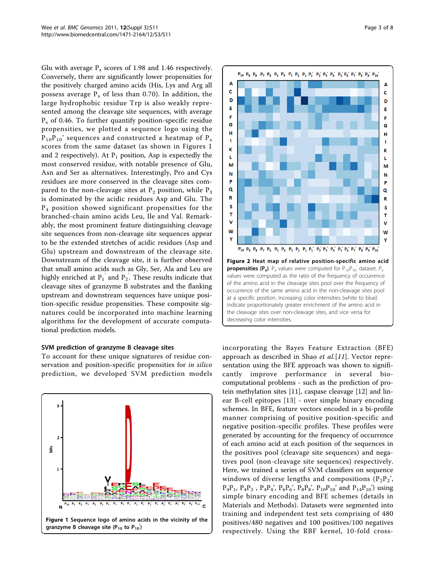Glu with average  $P_x$  scores of 1.98 and 1.46 respectively. Conversely, there are significantly lower propensities for the positively charged amino acids (His, Lys and Arg all possess average  $P_x$  of less than 0.70). In addition, the large hydrophobic residue Trp is also weakly represented among the cleavage site sequences, with average  $P_x$  of 0.46. To further quantify position-specific residue propensities, we plotted a sequence logo using the  $P_{10}P_{10}$ ' sequences and constructed a heatmap of  $P_x$ scores from the same dataset (as shown in Figures 1 and 2 respectively). At  $P_1$  position, Asp is expectedly the most conserved residue, with notable presence of Glu, Asn and Ser as alternatives. Interestingly, Pro and Cys residues are more conserved in the cleavage sites compared to the non-cleavage sites at  $P_2$  position, while  $P_3$ is dominated by the acidic residues Asp and Glu. The P4 position showed significant propensities for the branched-chain amino acids Leu, Ile and Val. Remarkably, the most prominent feature distinguishing cleavage site sequences from non-cleavage site sequences appear to be the extended stretches of acidic residues (Asp and Glu) upstream and downstream of the cleavage site. Downstream of the cleavage site, it is further observed that small amino acids such as Gly, Ser, Ala and Leu are highly enriched at  $P_1$  and  $P_2.$  These results indicate that ' ' cleavage sites of granzyme B substrates and the flanking upstream and downstream sequences have unique position-specific residue propensities. These composite signatures could be incorporated into machine learning algorithms for the development of accurate computational prediction models.

# SVM prediction of granzyme B cleavage sites

To account for these unique signatures of residue conservation and position-specific propensities for in silico prediction, we developed SVM prediction models





incorporating the Bayes Feature Extraction (BFE) approach as described in Shao et  $al[11]$ . Vector representation using the BFE approach was shown to significantly improve performance in several biocomputational problems - such as the prediction of protein methylation sites [[11\]](#page-6-0), caspase cleavage [\[12](#page-6-0)] and linear B-cell epitopes [[13\]](#page-7-0) - over simple binary encoding schemes. In BFE, feature vectors encoded in a bi-profile manner comprising of positive position-specific and negative position-specific profiles. These profiles were generated by accounting for the frequency of occurrence of each amino acid at each position of the sequences in the positives pool (cleavage site sequences) and negatives pool (non-cleavage site sequences) respectively. Here, we trained a series of SVM classifiers on sequence windows of diverse lengths and compositions  $(P_2P_2)$ ,  $P_4P_1$ ,  $P_4P_2$ ,  $P_4P_4$ ,  $P_6P_6$ ,  $P_8P_8$ ,  $P_{10}P_{10}$  and  $P_{14}P_{10}$ ) using simple binary encoding and BFE schemes (details in Materials and Methods). Datasets were segmented into training and independent test sets comprising of 480 positives/480 negatives and 100 positives/100 negatives respectively. Using the RBF kernel, 10-fold cross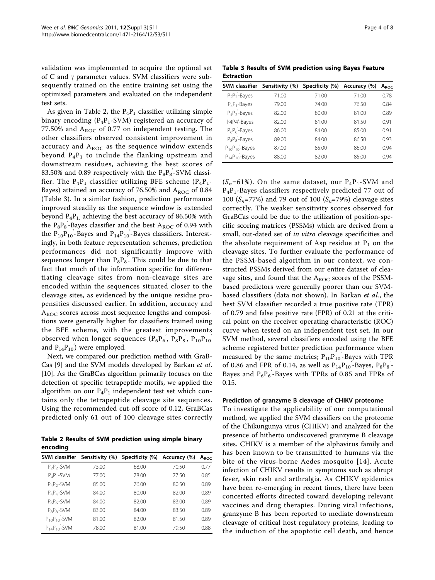validation was implemented to acquire the optimal set of C and  $\gamma$  parameter values. SVM classifiers were subsequently trained on the entire training set using the optimized parameters and evaluated on the independent test sets.

As given in Table 2, the  $P_4P_1$  classifier utilizing simple binary encoding  $(P_4P_1-SVM)$  registered an accuracy of 77.50% and  $A_{ROC}$  of 0.77 on independent testing. The other classifiers observed consistent improvement in accuracy and  $A_{ROC}$  as the sequence window extends beyond  $P_4P_1$  to include the flanking upstream and downstream residues, achieving the best scores of  $83.50\%$  and 0.89 respectively with the  $\rm P_8P_8$ -SVM classi-' fier. The  $P_4P_1$  classifier utilizing BFE scheme ( $P_4P_1$ -Bayes) attained an accuracy of 76.50% and  $A_{\text{ROC}}$  of 0.84 (Table 3). In a similar fashion, prediction performance improved steadily as the sequence window is extended beyond  $P_4P_1$ , achieving the best accuracy of 86.50% with the  $\rm P_8P_8$ -Bayes classifier and the best  $\rm A_{ROC}$  of 0.94 with ' the  $P_{10}P_{10}$ '-Bayes and  $P_{14}P_{10}$ '-Bayes classifiers. Interestingly, in both feature representation schemes, prediction performances did not significantly improve with sequences longer than  $\mathrm{P_8P_8}.$  This could be due to that ' fact that much of the information specific for differentiating cleavage sites from non-cleavage sites are encoded within the sequences situated closer to the cleavage sites, as evidenced by the unique residue propensities discussed earlier. In addition, accuracy and  $A_{ROC}$  scores across most sequence lengths and compositions were generally higher for classifiers trained using the BFE scheme, with the greatest improvements observed when longer sequences  $(P_6P_6, P_8P_8, P_{10}P_{10})$ ' ' and  $P_{14}P_{10}$ <sup>'</sup>) were employed.

Next, we compared our prediction method with GraB-Cas [[9\]](#page-6-0) and the SVM models developed by Barkan et al. [[10\]](#page-6-0). As the GraBCas algorithm primarily focuses on the detection of specific tetrapeptide motifs, we applied the algorithm on our  $P_4P_1$  independent test set which contains only the tetrapeptide cleavage site sequences. Using the recommended cut-off score of 0.12, GraBCas predicted only 61 out of 100 cleavage sites correctly

Table 2 Results of SVM prediction using simple binary encoding

|                      | SVM classifier Sensitivity (%) | Specificity (%) | Accuracy (%) | A <sub>ROC</sub> |
|----------------------|--------------------------------|-----------------|--------------|------------------|
| $P_2P_2$ -SVM        | 73.00                          | 68.00           | 70.50        | 077              |
| $P_4P_1$ -SVM        | 77.00                          | 78.00           | 77.50        | 0.85             |
| $P_4P_2$ -SVM        | 85.00                          | 76.00           | 80.50        | 0.89             |
| $P_A P_A - SVM$      | 84.00                          | 80.00           | 82.00        | 0.89             |
| $P_6P_6$ -SVM        | 84.00                          | 82.00           | 83.00        | 0.89             |
| $P_8P_8 - SVM$       | 83.00                          | 84.00           | 83.50        | 0.89             |
| $P_{10}P_{10}$ -SVM  | 81.00                          | 82.00           | 81.50        | 0.89             |
| $P_{14}P_{10} - SVM$ | 78.00                          | 81.00           | 79.50        | 0.88             |

Table 3 Results of SVM prediction using Bayes Feature Extraction

| <b>SVM</b> classifier  | Sensitivity (%) | Specificity (%) | Accuracy (%) | A <sub>ROC</sub> |
|------------------------|-----------------|-----------------|--------------|------------------|
| $P_2P_2$ -Bayes        | 71.00           | 71.00           | 71.00        | 0.78             |
| $P_4P_1$ -Bayes        | 79.00           | 74.00           | 76.50        | 0.84             |
| $P_4P_2$ -Bayes        | 82.00           | 80.00           | 81.00        | 0.89             |
| P4P4'-Bayes            | 82.00           | 81.00           | 81.50        | 0.91             |
| $P_6P_6$ -Bayes        | 86.00           | 84.00           | 85.00        | 0.91             |
| $P_8P_8 - Bayes$       | 89.00           | 84.00           | 86.50        | 0.93             |
| $P_{10}P_{10} - Bayes$ | 87.00           | 85.00           | 86.00        | 0.94             |
| $P_{14}P_{10} - Bayes$ | 88.00           | 82.00           | 85.00        | 0.94             |

 $(S_n=61\%)$ . On the same dataset, our  $P_4P_1$ -SVM and  $P_4P_1$ -Bayes classifiers respectively predicted 77 out of 100 ( $S_n$ =77%) and 79 out of 100 ( $S_n$ =79%) cleavage sites correctly. The weaker sensitivity scores observed for GraBCas could be due to the utilization of position-specific scoring matrices (PSSMs) which are derived from a small, out-dated set of in vitro cleavage specificities and the absolute requirement of Asp residue at  $P_1$  on the cleavage sites. To further evaluate the performance of the PSSM-based algorithm in our context, we constructed PSSMs derived from our entire dataset of cleavage sites, and found that the  $A_{ROC}$  scores of the PSSMbased predictors were generally poorer than our SVMbased classifiers (data not shown). In Barkan et al., the best SVM classifier recorded a true positive rate (TPR) of 0.79 and false positive rate (FPR) of 0.21 at the critical point on the receiver operating characteristic (ROC) curve when tested on an independent test set. In our SVM method, several classifiers encoded using the BFE scheme registered better prediction performance when measured by the same metrics;  $P_{10}P_{10}$ -Bayes with TPR of 0.86 and FPR of 0.14, as well as  $P_{14}P_{10}$ -Bayes,  $P_8P_8$ -' Bayes and  $P_6P_6$ -Bayes with TPRs of 0.85 and FPRs of ' 0.15.

#### Prediction of granzyme B cleavage of CHIKV proteome

To investigate the applicability of our computational method, we applied the SVM classifiers on the proteome of the Chikungunya virus (CHIKV) and analyzed for the presence of hitherto undiscovered granzyme B cleavage sites. CHIKV is a member of the alphavirus family and has been known to be transmitted to humans via the bite of the virus-borne Aedes mosquito [[14\]](#page-7-0). Acute infection of CHIKV results in symptoms such as abrupt fever, skin rash and arthralgia. As CHIKV epidemics have been re-emerging in recent times, there have been concerted efforts directed toward developing relevant vaccines and drug therapies. During viral infections, granzyme B has been reported to mediate downstream cleavage of critical host regulatory proteins, leading to the induction of the apoptotic cell death, and hence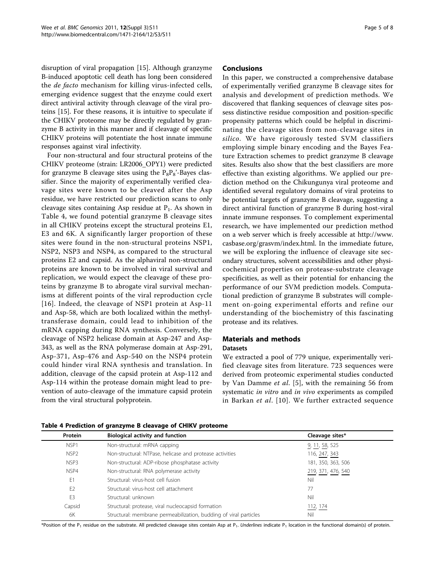disruption of viral propagation [\[15](#page-7-0)]. Although granzyme B-induced apoptotic cell death has long been considered the *de facto* mechanism for killing virus-infected cells, emerging evidence suggest that the enzyme could exert direct antiviral activity through cleavage of the viral proteins [\[15](#page-7-0)]. For these reasons, it is intuitive to speculate if the CHIKV proteome may be directly regulated by granzyme B activity in this manner and if cleavage of specific CHIKV proteins will potentiate the host innate immune responses against viral infectivity.

Four non-structural and four structural proteins of the CHIKV proteome (strain: LR2006\_OPY1) were predicted for granzyme B cleavage sites using the  $P_8P_8'$ -Bayes classifier. Since the majority of experimentally verified cleavage sites were known to be cleaved after the Asp residue, we have restricted our prediction scans to only cleavage sites containing Asp residue at  $P_1$ . As shown in Table 4, we found potential granzyme B cleavage sites in all CHIKV proteins except the structural proteins E1, E3 and 6K. A significantly larger proportion of these sites were found in the non-structural proteins NSP1, NSP2, NSP3 and NSP4, as compared to the structural proteins E2 and capsid. As the alphaviral non-structural proteins are known to be involved in viral survival and replication, we would expect the cleavage of these proteins by granzyme B to abrogate viral survival mechanisms at different points of the viral reproduction cycle [[16\]](#page-7-0). Indeed, the cleavage of NSP1 protein at Asp-11 and Asp-58, which are both localized within the methyltransferase domain, could lead to inhibition of the mRNA capping during RNA synthesis. Conversely, the cleavage of NSP2 helicase domain at Asp-247 and Asp-343, as well as the RNA polymerase domain at Asp-291, Asp-371, Asp-476 and Asp-540 on the NSP4 protein could hinder viral RNA synthesis and translation. In addition, cleavage of the capsid protein at Asp-112 and Asp-114 within the protease domain might lead to prevention of auto-cleavage of the immature capsid protein from the viral structural polyprotein.

#### Conclusions

In this paper, we constructed a comprehensive database of experimentally verified granzyme B cleavage sites for analysis and development of prediction methods. We discovered that flanking sequences of cleavage sites possess distinctive residue composition and position-specific propensity patterns which could be helpful in discriminating the cleavage sites from non-cleavage sites in silico. We have rigorously tested SVM classifiers employing simple binary encoding and the Bayes Feature Extraction schemes to predict granzyme B cleavage sites. Results also show that the best classifiers are more effective than existing algorithms. We applied our prediction method on the Chikungunya viral proteome and identified several regulatory domains of viral proteins to be potential targets of granzyme B cleavage, suggesting a direct antiviral function of granzyme B during host-viral innate immune responses. To complement experimental research, we have implemented our prediction method on a web server which is freely accessible at [http://www.](http://www.casbase.org/grasvm/index.html) [casbase.org/grasvm/index.html](http://www.casbase.org/grasvm/index.html). In the immediate future, we will be exploring the influence of cleavage site secondary structures, solvent accessibilities and other physicochemical properties on protease-substrate cleavage specificities, as well as their potential for enhancing the performance of our SVM prediction models. Computational prediction of granzyme B substrates will complement on-going experimental efforts and refine our understanding of the biochemistry of this fascinating protease and its relatives.

# Materials and methods Datasets

We extracted a pool of 779 unique, experimentally verified cleavage sites from literature. 723 sequences were derived from proteomic experimental studies conducted by Van Damme et al. [\[5](#page-6-0)], with the remaining 56 from systematic *in vitro* and *in vivo* experiments as compiled in Barkan et al. [[10\]](#page-6-0). We further extracted sequence

| Protein          | <b>Biological activity and function</b>                           | Cleavage sites*    |
|------------------|-------------------------------------------------------------------|--------------------|
| NSP <sub>1</sub> | Non-structural: mRNA capping                                      | 9, 11, 58, 525     |
| NSP <sub>2</sub> | Non-structural: NTPase, helicase and protease activities          | 116, 247, 343      |
| NSP3             | Non-structural: ADP-ribose phosphatase activity                   | 181, 350, 363, 506 |
| NSP4             | Non-structural: RNA polymerase activity                           | 219, 371, 476, 540 |
| E1               | Structural: virus-host cell fusion                                | Nil                |
| E <sub>2</sub>   | Structural: virus-host cell attachment                            | 77                 |
| E <sub>3</sub>   | Structural: unknown                                               | Nil                |
| Capsid           | Structural: protease, viral nucleocapsid formation                | 112, 174           |
| 6K               | Structural: membrane permeabilization, budding of viral particles | Nil                |

Table 4 Prediction of granzyme B cleavage of CHIKV proteome

\*Position of the P<sub>1</sub> residue on the substrate. All predicted cleavage sites contain Asp at P<sub>1</sub>. Underlines indicate P<sub>1</sub> location in the functional domain(s) of protein.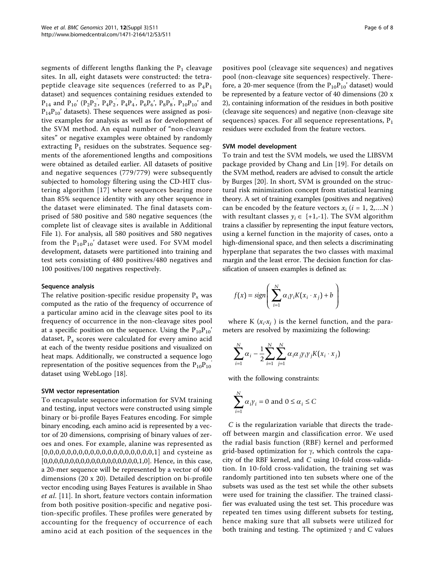segments of different lengths flanking the  $P_1$  cleavage sites. In all, eight datasets were constructed: the tetrapeptide cleavage site sequences (referred to as  $P_4P_1$ dataset) and sequences containing residues extended to  $P_{14}$  and  $P_{10}$ ' (P<sub>2</sub>P<sub>2</sub>, P<sub>4</sub>P<sub>2</sub>, P<sub>4</sub>P<sub>4</sub>, P<sub>6</sub>P<sub>6</sub>', P<sub>8</sub>P<sub>8</sub>, P<sub>10</sub>P<sub>10</sub>' and ' ' ' '  $P_{14}P_{10}$ ' datasets). These sequences were assigned as positive examples for analysis as well as for development of the SVM method. An equal number of "non-cleavage sites" or negative examples were obtained by randomly extracting  $P_1$  residues on the substrates. Sequence segments of the aforementioned lengths and compositions were obtained as detailed earlier. All datasets of positive and negative sequences (779/779) were subsequently subjected to homology filtering using the CD-HIT clustering algorithm [\[17\]](#page-7-0) where sequences bearing more than 85% sequence identity with any other sequence in the dataset were eliminated. The final datasets comprised of 580 positive and 580 negative sequences (the complete list of cleavage sites is available in Additional File [1](#page-6-0)). For analysis, all 580 positives and 580 negatives from the  $P_{10}P_{10}$ ' dataset were used. For SVM model development, datasets were partitioned into training and test sets consisting of 480 positives/480 negatives and 100 positives/100 negatives respectively.

#### Sequence analysis

The relative position-specific residue propensity  $P_x$  was computed as the ratio of the frequency of occurrence of a particular amino acid in the cleavage sites pool to its frequency of occurrence in the non-cleavage sites pool at a specific position on the sequence. Using the  $P_{10}P_{10}'$ dataset,  $P_x$  scores were calculated for every amino acid at each of the twenty residue positions and visualized on heat maps. Additionally, we constructed a sequence logo representation of the positive sequences from the  $P_{10}P_{10}$ dataset using WebLogo [\[18](#page-7-0)].

#### SVM vector representation

To encapsulate sequence information for SVM training and testing, input vectors were constructed using simple binary or bi-profile Bayes Features encoding. For simple binary encoding, each amino acid is represented by a vector of 20 dimensions, comprising of binary values of zeroes and ones. For example, alanine was represented as [0,0,0,0,0,0,0,0,0,0,0,0,0,0,0,0,0,0,0,1] and cysteine as [0,0,0,0,0,0,0,0,0,0,0,0,0,0,0,0,0,0,1,0]. Hence, in this case, a 20-mer sequence will be represented by a vector of 400 dimensions (20 x 20). Detailed description on bi-profile vector encoding using Bayes Features is available in Shao et al. [[11](#page-6-0)]. In short, feature vectors contain information from both positive position-specific and negative position-specific profiles. These profiles were generated by accounting for the frequency of occurrence of each amino acid at each position of the sequences in the

positives pool (cleavage site sequences) and negatives pool (non-cleavage site sequences) respectively. Therefore, a 20-mer sequence (from the  $P_{10}P_{10}'$  dataset) would be represented by a feature vector of 40 dimensions (20 x 2), containing information of the residues in both positive (cleavage site sequences) and negative (non-cleavage site sequences) spaces. For all sequence representations,  $P_1$ residues were excluded from the feature vectors.

#### SVM model development

To train and test the SVM models, we used the LIBSVM package provided by Chang and Lin [\[19](#page-7-0)]. For details on the SVM method, readers are advised to consult the article by Burges [[20\]](#page-7-0). In short, SVM is grounded on the structural risk minimization concept from statistical learning theory. A set of training examples (positives and negatives) can be encoded by the feature vectors  $x_i$  ( $i = 1, 2,...N$ ) with resultant classes  $y_i \in \{+1,-1\}$ . The SVM algorithm trains a classifier by representing the input feature vectors, using a kernel function in the majority of cases, onto a high-dimensional space, and then selects a discriminating hyperplane that separates the two classes with maximal margin and the least error. The decision function for classification of unseen examples is defined as:

$$
f(x) = sign\left(\sum_{i=1}^{N} \alpha_i \gamma_i K(x_i \cdot x_j) + b\right)
$$

where K  $(x_i \cdot x_j)$  is the kernel function, and the parameters are resolved by maximizing the following:

$$
\sum_{i=1}^N \alpha_i - \frac{1}{2} \sum_{i=1}^N \sum_{j=1}^N \alpha_i \alpha_j \gamma_i \gamma_j K(x_i \cdot x_j)
$$

with the following constraints:

$$
\sum_{i=1}^{N} \alpha_i \gamma_i = 0 \text{ and } 0 \le \alpha_i \le C
$$

C is the regularization variable that directs the tradeoff between margin and classification error. We used the radial basis function (RBF) kernel and performed grid-based optimization for  $\gamma$ , which controls the capacity of the RBF kernel, and C using 10-fold cross-validation. In 10-fold cross-validation, the training set was randomly partitioned into ten subsets where one of the subsets was used as the test set while the other subsets were used for training the classifier. The trained classifier was evaluated using the test set. This procedure was repeated ten times using different subsets for testing, hence making sure that all subsets were utilized for both training and testing. The optimized  $\gamma$  and C values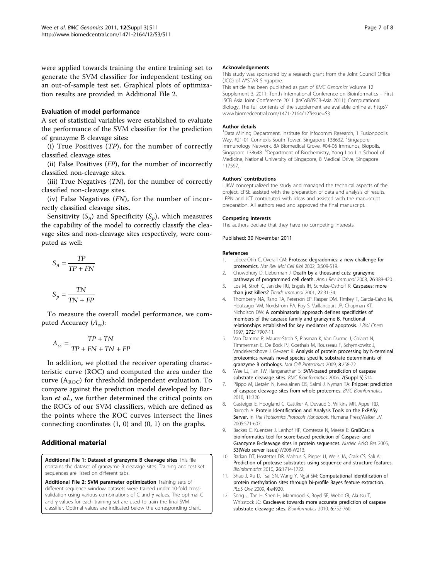<span id="page-6-0"></span>were applied towards training the entire training set to generate the SVM classifier for independent testing on an out-of-sample test set. Graphical plots of optimization results are provided in Additional File 2.

#### Evaluation of model performance

A set of statistical variables were established to evaluate the performance of the SVM classifier for the prediction of granzyme B cleavage sites:

(i) True Positives  $(TP)$ , for the number of correctly classified cleavage sites.

(ii) False Positives  $(FP)$ , for the number of incorrectly classified non-cleavage sites.

(iii) True Negatives  $(TN)$ , for the number of correctly classified non-cleavage sites.

(iv) False Negatives  $(FN)$ , for the number of incorrectly classified cleavage sites.

Sensitivity  $(S_n)$  and Specificity  $(S_p)$ , which measures the capability of the model to correctly classify the cleavage sites and non-cleavage sites respectively, were computed as well:

$$
S_n = \frac{TP}{TP + FN}
$$

$$
S_p = \frac{TN}{TN + FP}
$$

To measure the overall model performance, we computed Accuracy  $(A_{cc})$ :

$$
A_{cc} = \frac{TP + TN}{TP + FN + TN + FP}
$$

In addition, we plotted the receiver operating characteristic curve (ROC) and computed the area under the curve  $(A_{ROC})$  for threshold independent evaluation. To compare against the prediction model developed by Barkan et al., we further determined the critical points on the ROCs of our SVM classifiers, which are defined as the points where the ROC curves intersect the lines connecting coordinates  $(1, 0)$  and  $(0, 1)$  on the graphs.

# Additional material

[Additional File 1:](http://www.biomedcentral.com/content/supplementary/1471-2164-12-S3-S11-S1.xlsx) Dataset of granzyme B cleavage sites This file contains the dataset of granzyme B cleavage sites. Training and test set sequences are listed on different tabs.

[Additional File 2:](http://www.biomedcentral.com/content/supplementary/1471-2164-12-S3-S11-S2.pdf) SVM parameter optimization Training sets of different sequence window datasets were trained under 10-fold crossvalidation using various combinations of  $C$  and  $\gamma$  values. The optimal  $C$ and  $\gamma$  values for each training set are used to train the final SVM classifier. Optimal values are indicated below the corresponding chart.

#### Acknowledgements

This study was sponsored by a research grant from the Joint Council Office (JCO) of A\*STAR Singapore.

This article has been published as part of BMC Genomics Volume 12 Supplement 3, 2011: Tenth International Conference on Bioinformatics – First ISCB Asia Joint Conference 2011 (InCoB/ISCB-Asia 2011): Computational Biology. The full contents of the supplement are available online at [http://](http://www.biomedcentral.com/1471-2164/12?issue=S3) [www.biomedcentral.com/1471-2164/12?issue=S3](http://www.biomedcentral.com/1471-2164/12?issue=S3).

#### Author details

<sup>1</sup>Data Mining Department, Institute for Infocomm Research, 1 Fusionopolis Way, #21-01 Connexis South Tower, Singapore 138632. <sup>2</sup>Singapore Immunology Network, 8A Biomedical Grove, #04-06 Immunos, Biopolis, Singapore 138648. <sup>3</sup>Department of Biochemistry, Yong Loo Lin School of Medicine, National University of Singapore, 8 Medical Drive, Singapore 117597.

#### Authors' contributions

LJKW conceptualized the study and managed the technical aspects of the project. EPSE assisted with the preparation of data and analysis of results. LFPN and JCT contributed with ideas and assisted with the manuscript preparation. All authors read and approved the final manuscript.

#### Competing interests

The authors declare that they have no competing interests.

#### Published: 30 November 2011

#### References

- 1. López-Otín C, Overall CM: [Protease degradomics: a new challenge for](http://www.ncbi.nlm.nih.gov/pubmed/12094217?dopt=Abstract) [proteomics.](http://www.ncbi.nlm.nih.gov/pubmed/12094217?dopt=Abstract) Nat Rev Mol Cell Biol 2002, 3:509-519.
- 2. Chowdhury D, Lieberman J: [Death by a thousand cuts: granzyme](http://www.ncbi.nlm.nih.gov/pubmed/18304003?dopt=Abstract) [pathways of programmed cell death.](http://www.ncbi.nlm.nih.gov/pubmed/18304003?dopt=Abstract) Annu Rev Immunol 2008, 26:389-420.
- 3. Los M, Stroh C, Janicke RU, Engels IH, Schulze-Osthoff K: [Caspases: more](http://www.ncbi.nlm.nih.gov/pubmed/11286689?dopt=Abstract) [than just killers?](http://www.ncbi.nlm.nih.gov/pubmed/11286689?dopt=Abstract) Trends Immunol 2001, 22:31-34.
- Thornberry NA, Rano TA, Peterson EP, Rasper DM, Timkey T, Garcia-Calvo M, Houtzager VM, Nordstrom PA, Roy S, Vaillancourt JP, Chapman KT, Nicholson DW: [A combinatorial approach defines specificities of](http://www.ncbi.nlm.nih.gov/pubmed/9218414?dopt=Abstract) [members of the caspase family and granzyme B. Functional](http://www.ncbi.nlm.nih.gov/pubmed/9218414?dopt=Abstract) [relationships established for key mediators of apoptosis.](http://www.ncbi.nlm.nih.gov/pubmed/9218414?dopt=Abstract) J Biol Chem 1997, 272:17907-11.
- 5. Van Damme P, Maurer-Stroh S, Plasman K, Van Durme J, Colaert N, Timmerman E, De Bock PJ, Goethals M, Rousseau F, Schymkowitz J, Vandekerckhove J, Gevaert K: [Analysis of protein processing by N-terminal](http://www.ncbi.nlm.nih.gov/pubmed/18836177?dopt=Abstract) [proteomics reveals novel species specific substrate determinants of](http://www.ncbi.nlm.nih.gov/pubmed/18836177?dopt=Abstract) [granzyme B orthologs.](http://www.ncbi.nlm.nih.gov/pubmed/18836177?dopt=Abstract) Mol Cell Proteomics 2009, 8:258-72.
- 6. Wee LJ, Tan TW, Ranganathan S: [SVM-based prediction of caspase](http://www.ncbi.nlm.nih.gov/pubmed/17254298?dopt=Abstract) [substrate cleavage sites.](http://www.ncbi.nlm.nih.gov/pubmed/17254298?dopt=Abstract) BMC Bioinformatics 2006, 7(Suppl 5):S14.
- 7. Piippo M, Lietzén N, Nevalainen OS, Salmi J, Nyman TA: [Pripper: prediction](http://www.ncbi.nlm.nih.gov/pubmed/20546630?dopt=Abstract) [of caspase cleavage sites from whole proteomes.](http://www.ncbi.nlm.nih.gov/pubmed/20546630?dopt=Abstract) BMC Bioinformatics 2010, 11:320.
- 8. Gasteiger E, Hoogland C, Gattiker A, Duvaud S, Wilkins MR, Appel RD, Bairoch A: Protein Identification and Analysis Tools on the ExPASy Server. In The Proteomics Protocols Handbook. Humana Press; Walker JM 2005:571-607.
- 9. Backes C, Kuentzer J, Lenhof HP, Comtesse N, Meese E: [GraBCas: a](http://www.ncbi.nlm.nih.gov/pubmed/15980455?dopt=Abstract) [bioinformatics tool for score-based prediction of Caspase- and](http://www.ncbi.nlm.nih.gov/pubmed/15980455?dopt=Abstract) [Granzyme B-cleavage sites in protein sequences.](http://www.ncbi.nlm.nih.gov/pubmed/15980455?dopt=Abstract) Nucleic Acids Res 2005, 33(Web server issue):W208-W213.
- 10. Barkan DT, Hostetter DR, Mahrus S, Pieper U, Wells JA, Craik CS, Sali A: [Prediction of protease substrates using sequence and structure features.](http://www.ncbi.nlm.nih.gov/pubmed/20505003?dopt=Abstract) Bioinformatics 2010, 26:1714-1722.
- 11. Shao J, Xu D, Tsai SN, Wang Y, Ngai SM: [Computational identification of](http://www.ncbi.nlm.nih.gov/pubmed/19290060?dopt=Abstract) [protein methylation sites through bi-profile Bayes feature extraction.](http://www.ncbi.nlm.nih.gov/pubmed/19290060?dopt=Abstract) PLoS One 2009, 4:e4920.
- 12. Song J, Tan H, Shen H, Mahmood K, Boyd SE, Webb GI, Akutsu T, Whisstock JC: Cascleave: towards more accurate prediction of caspase substrate cleavage sites. Bioinformatics 2010, 6:752-760.